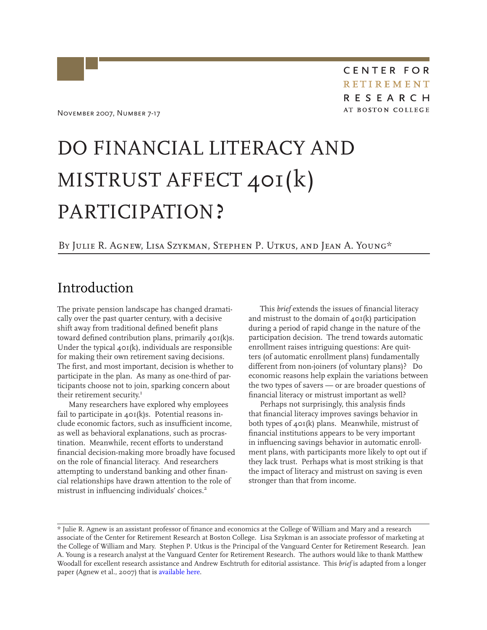# *DO FINANCIAL LITERACY AND MISTRUST AFFECT 401(*k*) PARTICIPATION?*

### *By Julie R. Agnew, Lisa Szykman, Stephen P. Utkus, and Jean A. Young\**

# Introduction

The private pension landscape has changed dramatically over the past quarter century, with a decisive shift away from traditional defined benefit plans toward defined contribution plans, primarily 401(k)s. Under the typical  $40I(k)$ , individuals are responsible for making their own retirement saving decisions. The first, and most important, decision is whether to participate in the plan. As many as one-third of participants choose not to join, sparking concern about their retirement security.<sup>1</sup>

Many researchers have explored why employees fail to participate in  $40I(k)s$ . Potential reasons include economic factors, such as insufficient income, as well as behavioral explanations, such as procrastination. Meanwhile, recent efforts to understand financial decision-making more broadly have focused on the role of financial literacy. And researchers attempting to understand banking and other financial relationships have drawn attention to the role of mistrust in influencing individuals' choices.<sup>2</sup>

This *brief* extends the issues of financial literacy and mistrust to the domain of  $40I(k)$  participation during a period of rapid change in the nature of the participation decision. The trend towards automatic enrollment raises intriguing questions: Are quitters (of automatic enrollment plans) fundamentally different from non-joiners (of voluntary plans)? Do economic reasons help explain the variations between the two types of savers — or are broader questions of financial literacy or mistrust important as well?

Perhaps not surprisingly, this analysis finds that financial literacy improves savings behavior in both types of 401(k) plans. Meanwhile, mistrust of financial institutions appears to be very important in influencing savings behavior in automatic enrollment plans, with participants more likely to opt out if they lack trust. Perhaps what is most striking is that the impact of literacy and mistrust on saving is even stronger than that from income.

<sup>\*</sup> Julie R. Agnew is an assistant professor of finance and economics at the College of William and Mary and a research associate of the Center for Retirement Research at Boston College. Lisa Szykman is an associate professor of marketing at the College of William and Mary. Stephen P. Utkus is the Principal of the Vanguard Center for Retirement Research. Jean A. Young is a research analyst at the Vanguard Center for Retirement Research. The authors would like to thank Matthew Woodall for excellent research assistance and Andrew Eschtruth for editorial assistance. This *brief* is adapted from a longer paper (Agnew et al., 2007) that is [available here](http://crr.bc.edu/working_papers/literacy_trust_and_401_k_savings_behavior.html).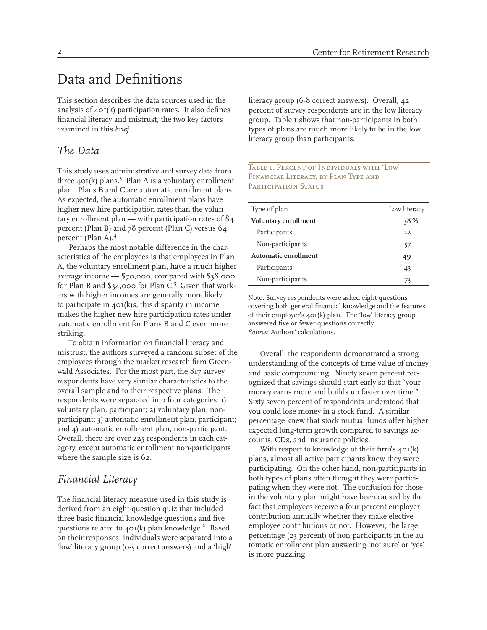# Data and Definitions

This section describes the data sources used in the analysis of 401(k) participation rates. It also defines financial literacy and mistrust, the two key factors examined in this *brief*.

### *The Data*

This study uses administrative and survey data from three  $40I(k)$  plans.<sup>3</sup> Plan A is a voluntary enrollment plan. Plans B and C are automatic enrollment plans. As expected, the automatic enrollment plans have higher new-hire participation rates than the voluntary enrollment plan — with participation rates of 84 percent (Plan B) and 78 percent (Plan C) versus 64 percent (Plan A).4

Perhaps the most notable difference in the characteristics of the employees is that employees in Plan A, the voluntary enrollment plan, have a much higher average income — \$70,000, compared with \$38,000 for Plan B and  $\S$ 34,000 for Plan C.<sup>5</sup> Given that workers with higher incomes are generally more likely to participate in  $40I(k)s$ , this disparity in income makes the higher new-hire participation rates under automatic enrollment for Plans B and C even more striking.

To obtain information on financial literacy and mistrust, the authors surveyed a random subset of the employees through the market research firm Greenwald Associates. For the most part, the 817 survey respondents have very similar characteristics to the overall sample and to their respective plans. The respondents were separated into four categories: 1) voluntary plan, participant; 2) voluntary plan, nonparticipant; 3) automatic enrollment plan, participant; and 4) automatic enrollment plan, non-participant. Overall, there are over 225 respondents in each category, except automatic enrollment non-participants where the sample size is 62.

### *Financial Literacy*

The financial literacy measure used in this study is derived from an eight-question quiz that included three basic financial knowledge questions and five questions related to  $40I(k)$  plan knowledge.<sup>6</sup> Based on their responses, individuals were separated into a 'low' literacy group (0-5 correct answers) and a 'high'

literacy group (6-8 correct answers). Overall, 42 percent of survey respondents are in the low literacy group. Table 1 shows that non-participants in both types of plans are much more likely to be in the low literacy group than participants.

#### *Table 1. Percent of Individuals with 'Low' Financial Literacy, by Plan Type and Participation Status*

| Type of plan         | Low literacy |
|----------------------|--------------|
| Voluntary enrollment | 38%          |
| Participants         | 22           |
| Non-participants     | 57           |
| Automatic enrollment | 49           |
| Participants         | 43           |
| Non-participants     | 73           |

Note: Survey respondents were asked eight questions covering both general financial knowledge and the features of their employer's 401(k) plan. The 'low' literacy group answered five or fewer questions correctly. *Source*: Authors' calculations.

Overall, the respondents demonstrated a strong understanding of the concepts of time value of money and basic compounding. Ninety seven percent recognized that savings should start early so that "your money earns more and builds up faster over time." Sixty seven percent of respondents understood that you could lose money in a stock fund. A similar percentage knew that stock mutual funds offer higher expected long-term growth compared to savings accounts, CDs, and insurance policies.

With respect to knowledge of their firm's  $40I(k)$ plans, almost all active participants knew they were participating. On the other hand, non-participants in both types of plans often thought they were participating when they were not. The confusion for those in the voluntary plan might have been caused by the fact that employees receive a four percent employer contribution annually whether they make elective employee contributions or not. However, the large percentage (23 percent) of non-participants in the automatic enrollment plan answering 'not sure' or 'yes' is more puzzling.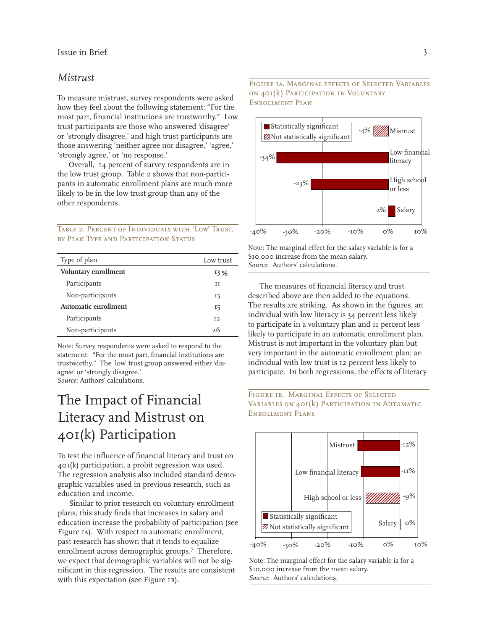### *Mistrust*

To measure mistrust, survey respondents were asked how they feel about the following statement: "For the most part, financial institutions are trustworthy." Low trust participants are those who answered 'disagree' or 'strongly disagree,' and high trust participants are those answering 'neither agree nor disagree,' 'agree,' 'strongly agree,' or 'no response.'

Overall, 14 percent of survey respondents are in the low trust group. Table 2 shows that non-participants in automatic enrollment plans are much more likely to be in the low trust group than any of the other respondents.

*Table 2. Percent of Individuals with 'Low' Trust, by Plan Type and Participation Status*

| Type of plan         | Low trust      |
|----------------------|----------------|
| Voluntary enrollment | 13%            |
| Participants         | TT             |
| Non-participants     | 15             |
| Automatic enrollment | 15             |
| Participants         | T <sub>2</sub> |
| Non-participants     | 26             |

Note: Survey respondents were asked to respond to the statement: "For the most part, financial institutions are trustworthy." The 'low' trust group answered either 'disagree' or 'strongly disagree.' *Source*: Authors' calculations.

# The Impact of Financial Literacy and Mistrust on 401(k) Participation

To test the influence of financial literacy and trust on 401(k) participation, a probit regression was used. The regression analysis also included standard demographic variables used in previous research, such as education and income.

Similar to prior research on voluntary enrollment plans, this study finds that increases in salary and education increase the probability of participation (see Figure 1*a*). With respect to automatic enrollment, past research has shown that it tends to equalize enrollment across demographic groups.7 Therefore, we expect that demographic variables will not be significant in this regression. The results are consistent with this expectation (see Figure 1*b*).

#### *Figure 1a. Marginal effects of Selected Variables on 401(*k*) Participation in Voluntary Enrollment Plan*



Note: The marginal effect for the salary variable is for a \$10,000 increase from the mean salary. *Source*: Authors' calculations.

The measures of financial literacy and trust described above are then added to the equations. The results are striking. As shown in the figures, an individual with low literacy is 34 percent less likely to participate in a voluntary plan and 11 percent less likely to participate in an automatic enrollment plan. Mistrust is not important in the voluntary plan but very important in the automatic enrollment plan; an individual with low trust is 12 percent less likely to participate. In both regressions, the effects of literacy





Note: The marginal effect for the salary variable is for a \$10,000 increase from the mean salary. *Source*: Authors' calculations.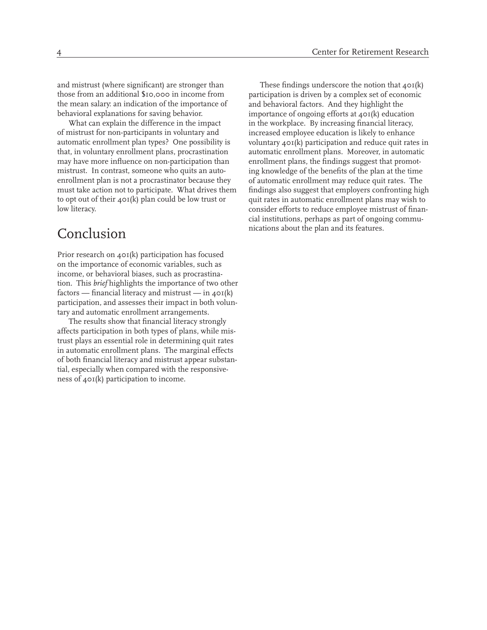and mistrust (where significant) are stronger than those from an additional \$10,000 in income from the mean salary: an indication of the importance of behavioral explanations for saving behavior.

What can explain the difference in the impact of mistrust for non-participants in voluntary and automatic enrollment plan types? One possibility is that, in voluntary enrollment plans, procrastination may have more influence on non-participation than mistrust. In contrast, someone who quits an autoenrollment plan is not a procrastinator because they must take action not to participate. What drives them to opt out of their 401(k) plan could be low trust or low literacy.

# Conclusion

Prior research on  $\triangle$  or(k) participation has focused on the importance of economic variables, such as income, or behavioral biases, such as procrastination. This *brief* highlights the importance of two other factors — financial literacy and mistrust — in  $40I(k)$ participation, and assesses their impact in both voluntary and automatic enrollment arrangements.

The results show that financial literacy strongly affects participation in both types of plans, while mistrust plays an essential role in determining quit rates in automatic enrollment plans. The marginal effects of both financial literacy and mistrust appear substantial, especially when compared with the responsiveness of 401(k) participation to income.

These findings underscore the notion that  $40I(k)$ participation is driven by a complex set of economic and behavioral factors. And they highlight the importance of ongoing efforts at 401(k) education in the workplace. By increasing financial literacy, increased employee education is likely to enhance voluntary 401(k) participation and reduce quit rates in automatic enrollment plans. Moreover, in automatic enrollment plans, the findings suggest that promoting knowledge of the benefits of the plan at the time of automatic enrollment may reduce quit rates. The findings also suggest that employers confronting high quit rates in automatic enrollment plans may wish to consider efforts to reduce employee mistrust of financial institutions, perhaps as part of ongoing communications about the plan and its features.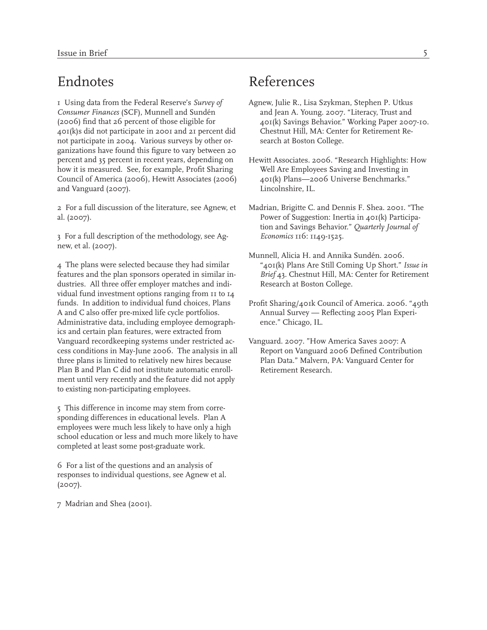# Endnotes

1 Using data from the Federal Reserve's *Survey of Consumer Finances* (SCF), Munnell and Sundén (2006) find that 26 percent of those eligible for 401(k)s did not participate in 2001 and 21 percent did not participate in 2004. Various surveys by other organizations have found this figure to vary between 20 percent and 35 percent in recent years, depending on how it is measured. See, for example, Profit Sharing Council of America (2006), Hewitt Associates (2006) and Vanguard (2007).

2 For a full discussion of the literature, see Agnew, et al. (2007).

3 For a full description of the methodology, see Agnew, et al. (2007).

4 The plans were selected because they had similar features and the plan sponsors operated in similar industries. All three offer employer matches and individual fund investment options ranging from 11 to 14 funds. In addition to individual fund choices, Plans A and C also offer pre-mixed life cycle portfolios. Administrative data, including employee demographics and certain plan features, were extracted from Vanguard recordkeeping systems under restricted access conditions in May-June 2006. The analysis in all three plans is limited to relatively new hires because Plan B and Plan C did not institute automatic enrollment until very recently and the feature did not apply to existing non-participating employees.

5 This difference in income may stem from corresponding differences in educational levels. Plan A employees were much less likely to have only a high school education or less and much more likely to have completed at least some post-graduate work.

6 For a list of the questions and an analysis of responses to individual questions, see Agnew et al. (2007).

7 Madrian and Shea (2001).

# References

- Agnew, Julie R., Lisa Szykman, Stephen P. Utkus and Jean A. Young. 2007. "Literacy, Trust and 401(k) Savings Behavior." Working Paper 2007-10. Chestnut Hill, MA: Center for Retirement Research at Boston College.
- Hewitt Associates. 2006. "Research Highlights: How Well Are Employees Saving and Investing in 401(k) Plans—2006 Universe Benchmarks." Lincolnshire, IL.
- Madrian, Brigitte C. and Dennis F. Shea. 2001. "The Power of Suggestion: Inertia in 401(k) Participation and Savings Behavior." *Quarterly Journal of Economics* 116: 1149-1525.
- Munnell, Alicia H. and Annika Sundén. 2006. "401(k) Plans Are Still Coming Up Short." *Issue in Brief* 43. Chestnut Hill, MA: Center for Retirement Research at Boston College.
- Profit Sharing/401k Council of America. 2006. "49th Annual Survey — Reflecting 2005 Plan Experience." Chicago, IL.
- Vanguard. 2007. "How America Saves 2007: A Report on Vanguard 2006 Defined Contribution Plan Data." Malvern, PA: Vanguard Center for Retirement Research.